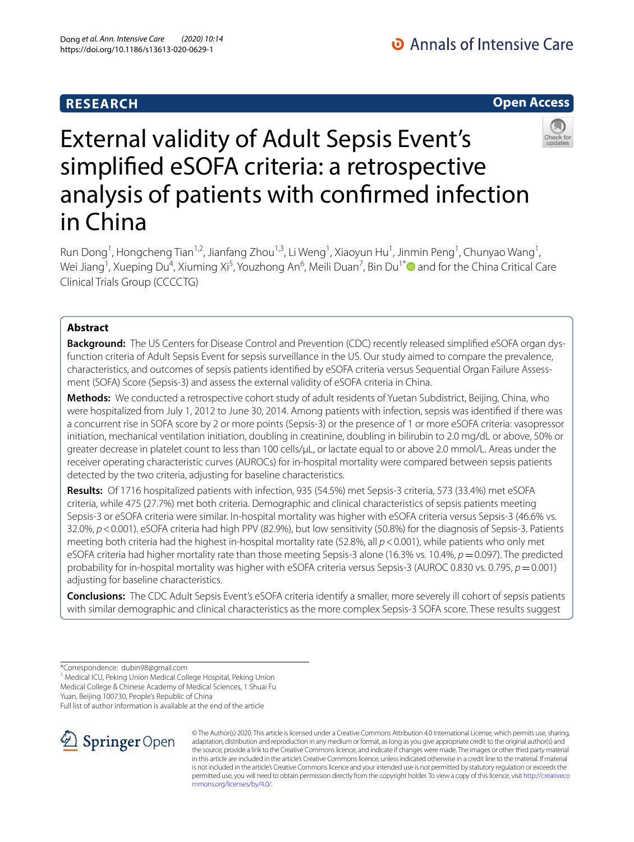## **RESEARCH**



# External validity of Adult Sepsis Event's simplifed eSOFA criteria: a retrospective analysis of patients with confrmed infection in China

Run Dong<sup>1</sup>, Hongcheng Tian<sup>1,2</sup>, Jianfang Zhou<sup>1,3</sup>, Li Weng<sup>1</sup>, Xiaoyun Hu<sup>1</sup>, Jinmin Peng<sup>1</sup>, Chunyao Wang<sup>1</sup>, Wei Jiang<sup>1</sup>, Xueping Du<sup>4</sup>, Xiuming Xi<sup>5</sup>, Youzhong An<sup>6</sup>, Meili Duan<sup>7</sup>, Bin Du<sup>1\*</sup> and for the China Critical Care Clinical Trials Group (CCCCTG)

## **Abstract**

**Background:** The US Centers for Disease Control and Prevention (CDC) recently released simplifed eSOFA organ dysfunction criteria of Adult Sepsis Event for sepsis surveillance in the US. Our study aimed to compare the prevalence, characteristics, and outcomes of sepsis patients identifed by eSOFA criteria versus Sequential Organ Failure Assessment (SOFA) Score (Sepsis-3) and assess the external validity of eSOFA criteria in China.

**Methods:** We conducted a retrospective cohort study of adult residents of Yuetan Subdistrict, Beijing, China, who were hospitalized from July 1, 2012 to June 30, 2014. Among patients with infection, sepsis was identifed if there was a concurrent rise in SOFA score by 2 or more points (Sepsis-3) or the presence of 1 or more eSOFA criteria: vasopressor initiation, mechanical ventilation initiation, doubling in creatinine, doubling in bilirubin to 2.0 mg/dL or above, 50% or greater decrease in platelet count to less than 100 cells/μL, or lactate equal to or above 2.0 mmol/L. Areas under the receiver operating characteristic curves (AUROCs) for in-hospital mortality were compared between sepsis patients detected by the two criteria, adjusting for baseline characteristics.

**Results:** Of 1716 hospitalized patients with infection, 935 (54.5%) met Sepsis-3 criteria, 573 (33.4%) met eSOFA criteria, while 475 (27.7%) met both criteria. Demographic and clinical characteristics of sepsis patients meeting Sepsis-3 or eSOFA criteria were similar. In-hospital mortality was higher with eSOFA criteria versus Sepsis-3 (46.6% vs. 32.0%, *p*<0.001). eSOFA criteria had high PPV (82.9%), but low sensitivity (50.8%) for the diagnosis of Sepsis-3. Patients meeting both criteria had the highest in-hospital mortality rate (52.8%, all *p*<0.001), while patients who only met eSOFA criteria had higher mortality rate than those meeting Sepsis-3 alone (16.3% vs. 10.4%, *p*=0.097). The predicted probability for in-hospital mortality was higher with eSOFA criteria versus Sepsis-3 (AUROC 0.830 vs. 0.795, *p*=0.001) adjusting for baseline characteristics.

**Conclusions:** The CDC Adult Sepsis Event's eSOFA criteria identify a smaller, more severely ill cohort of sepsis patients with similar demographic and clinical characteristics as the more complex Sepsis-3 SOFA score. These results suggest

\*Correspondence: dubin98@gmail.com

<sup>1</sup> Medical ICU, Peking Union Medical College Hospital, Peking Union Medical College & Chinese Academy of Medical Sciences, 1 Shuai Fu Yuan, Beijing 100730, People's Republic of China

Full list of author information is available at the end of the article



© The Author(s) 2020. This article is licensed under a Creative Commons Attribution 4.0 International License, which permits use, sharing, adaptation, distribution and reproduction in any medium or format, as long as you give appropriate credit to the original author(s) and the source, provide a link to the Creative Commons licence, and indicate if changes were made. The images or other third party material in this article are included in the article's Creative Commons licence, unless indicated otherwise in a credit line to the material. If material is not included in the article's Creative Commons licence and your intended use is not permitted by statutory regulation or exceeds the permitted use, you will need to obtain permission directly from the copyright holder. To view a copy of this licence, visit [http://creativeco](http://creativecommons.org/licenses/by/4.0/) [mmons.org/licenses/by/4.0/.](http://creativecommons.org/licenses/by/4.0/)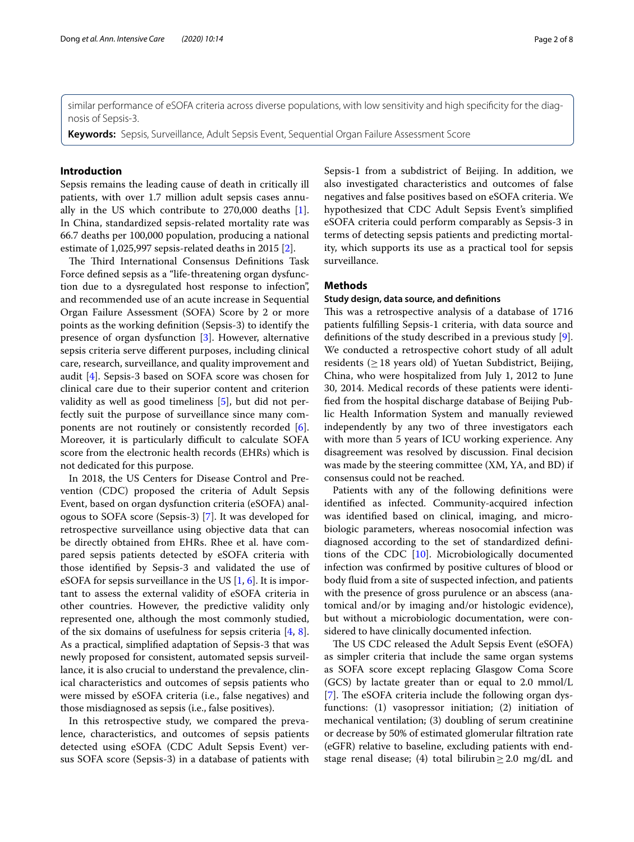similar performance of eSOFA criteria across diverse populations, with low sensitivity and high specifcity for the diagnosis of Sepsis-3.

**Keywords:** Sepsis, Surveillance, Adult Sepsis Event, Sequential Organ Failure Assessment Score

#### **Introduction**

Sepsis remains the leading cause of death in critically ill patients, with over 1.7 million adult sepsis cases annually in the US which contribute to 270,000 deaths [\[1](#page-6-0)]. In China, standardized sepsis-related mortality rate was 66.7 deaths per 100,000 population, producing a national estimate of 1,025,997 sepsis-related deaths in 2015 [[2\]](#page-6-1).

The Third International Consensus Definitions Task Force defned sepsis as a "life-threatening organ dysfunction due to a dysregulated host response to infection", and recommended use of an acute increase in Sequential Organ Failure Assessment (SOFA) Score by 2 or more points as the working defnition (Sepsis-3) to identify the presence of organ dysfunction [[3\]](#page-6-2). However, alternative sepsis criteria serve diferent purposes, including clinical care, research, surveillance, and quality improvement and audit [\[4\]](#page-6-3). Sepsis-3 based on SOFA score was chosen for clinical care due to their superior content and criterion validity as well as good timeliness [\[5](#page-6-4)], but did not perfectly suit the purpose of surveillance since many components are not routinely or consistently recorded [\[6](#page-7-0)]. Moreover, it is particularly difficult to calculate SOFA score from the electronic health records (EHRs) which is not dedicated for this purpose.

In 2018, the US Centers for Disease Control and Prevention (CDC) proposed the criteria of Adult Sepsis Event, based on organ dysfunction criteria (eSOFA) analogous to SOFA score (Sepsis-3) [\[7](#page-7-1)]. It was developed for retrospective surveillance using objective data that can be directly obtained from EHRs. Rhee et al. have compared sepsis patients detected by eSOFA criteria with those identifed by Sepsis-3 and validated the use of eSOFA for sepsis surveillance in the US  $[1, 6]$  $[1, 6]$  $[1, 6]$  $[1, 6]$ . It is important to assess the external validity of eSOFA criteria in other countries. However, the predictive validity only represented one, although the most commonly studied, of the six domains of usefulness for sepsis criteria [\[4,](#page-6-3) [8](#page-7-2)]. As a practical, simplifed adaptation of Sepsis-3 that was newly proposed for consistent, automated sepsis surveillance, it is also crucial to understand the prevalence, clinical characteristics and outcomes of sepsis patients who were missed by eSOFA criteria (i.e., false negatives) and those misdiagnosed as sepsis (i.e., false positives).

In this retrospective study, we compared the prevalence, characteristics, and outcomes of sepsis patients detected using eSOFA (CDC Adult Sepsis Event) versus SOFA score (Sepsis-3) in a database of patients with Sepsis-1 from a subdistrict of Beijing. In addition, we also investigated characteristics and outcomes of false negatives and false positives based on eSOFA criteria. We hypothesized that CDC Adult Sepsis Event's simplifed eSOFA criteria could perform comparably as Sepsis-3 in terms of detecting sepsis patients and predicting mortality, which supports its use as a practical tool for sepsis surveillance.

#### **Methods**

#### **Study design, data source, and defnitions**

This was a retrospective analysis of a database of 1716 patients fulflling Sepsis-1 criteria, with data source and defnitions of the study described in a previous study [\[9](#page-7-3)]. We conducted a retrospective cohort study of all adult residents ( $\geq$  18 years old) of Yuetan Subdistrict, Beijing, China, who were hospitalized from July 1, 2012 to June 30, 2014. Medical records of these patients were identifed from the hospital discharge database of Beijing Public Health Information System and manually reviewed independently by any two of three investigators each with more than 5 years of ICU working experience. Any disagreement was resolved by discussion. Final decision was made by the steering committee (XM, YA, and BD) if consensus could not be reached.

Patients with any of the following defnitions were identifed as infected. Community-acquired infection was identifed based on clinical, imaging, and microbiologic parameters, whereas nosocomial infection was diagnosed according to the set of standardized defnitions of the CDC [\[10](#page-7-4)]. Microbiologically documented infection was confrmed by positive cultures of blood or body fuid from a site of suspected infection, and patients with the presence of gross purulence or an abscess (anatomical and/or by imaging and/or histologic evidence), but without a microbiologic documentation, were considered to have clinically documented infection.

The US CDC released the Adult Sepsis Event (eSOFA) as simpler criteria that include the same organ systems as SOFA score except replacing Glasgow Coma Score (GCS) by lactate greater than or equal to 2.0 mmol/L [[7\]](#page-7-1). The eSOFA criteria include the following organ dysfunctions: (1) vasopressor initiation; (2) initiation of mechanical ventilation; (3) doubling of serum creatinine or decrease by 50% of estimated glomerular fltration rate (eGFR) relative to baseline, excluding patients with endstage renal disease; (4) total bilirubin  $\geq$  2.0 mg/dL and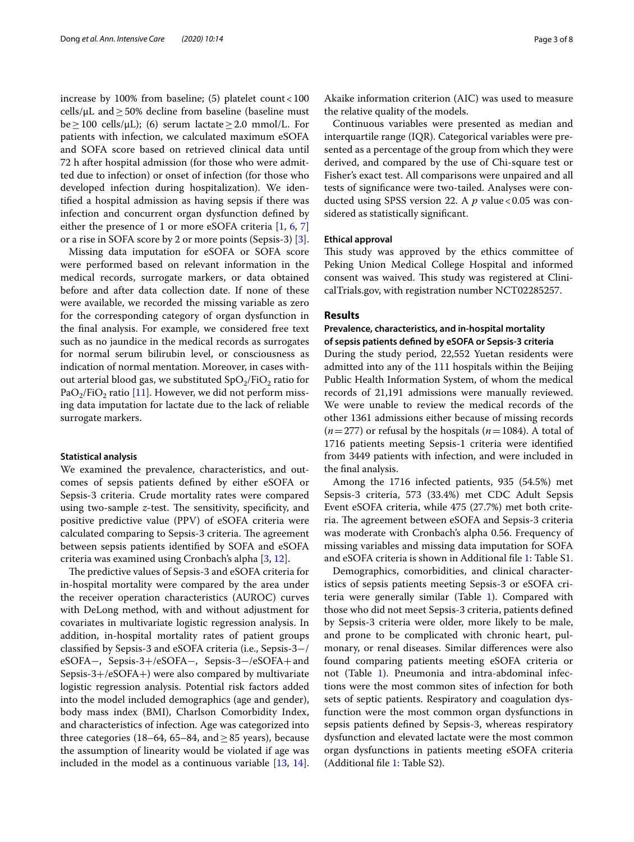increase by 100% from baseline; (5) platelet count <  $100$ cells/ $\mu$ L and > 50% decline from baseline (baseline must  $be \ge 100$  cells/ $\mu$ L); (6) serum lactate  $\ge 2.0$  mmol/L. For patients with infection, we calculated maximum eSOFA and SOFA score based on retrieved clinical data until 72 h after hospital admission (for those who were admitted due to infection) or onset of infection (for those who developed infection during hospitalization). We identifed a hospital admission as having sepsis if there was infection and concurrent organ dysfunction defned by either the presence of 1 or more eSOFA criteria [\[1](#page-6-0), [6](#page-7-0), [7](#page-7-1)] or a rise in SOFA score by 2 or more points (Sepsis-3) [\[3](#page-6-2)].

Missing data imputation for eSOFA or SOFA score were performed based on relevant information in the medical records, surrogate markers, or data obtained before and after data collection date. If none of these were available, we recorded the missing variable as zero for the corresponding category of organ dysfunction in the fnal analysis. For example, we considered free text such as no jaundice in the medical records as surrogates for normal serum bilirubin level, or consciousness as indication of normal mentation. Moreover, in cases without arterial blood gas, we substituted  $SpO<sub>2</sub>/FiO<sub>2</sub>$  ratio for PaO<sub>2</sub>/FiO<sub>2</sub> ratio [\[11](#page-7-5)]. However, we did not perform missing data imputation for lactate due to the lack of reliable surrogate markers.

#### **Statistical analysis**

We examined the prevalence, characteristics, and outcomes of sepsis patients defned by either eSOFA or Sepsis-3 criteria. Crude mortality rates were compared using two-sample z-test. The sensitivity, specificity, and positive predictive value (PPV) of eSOFA criteria were calculated comparing to Sepsis-3 criteria. The agreement between sepsis patients identifed by SOFA and eSOFA criteria was examined using Cronbach's alpha [[3,](#page-6-2) [12](#page-7-6)].

The predictive values of Sepsis-3 and eSOFA criteria for in-hospital mortality were compared by the area under the receiver operation characteristics (AUROC) curves with DeLong method, with and without adjustment for covariates in multivariate logistic regression analysis. In addition, in-hospital mortality rates of patient groups classifed by Sepsis-3 and eSOFA criteria (i.e., Sepsis-3−/ eSOFA−, Sepsis-3+/eSOFA−, Sepsis-3−/eSOFA+and Sepsis-3+/eSOFA+) were also compared by multivariate logistic regression analysis. Potential risk factors added into the model included demographics (age and gender), body mass index (BMI), Charlson Comorbidity Index, and characteristics of infection. Age was categorized into three categories (18–64, 65–84, and  $\geq$  85 years), because the assumption of linearity would be violated if age was included in the model as a continuous variable  $[13, 14]$  $[13, 14]$  $[13, 14]$  $[13, 14]$  $[13, 14]$ . Akaike information criterion (AIC) was used to measure the relative quality of the models.

Continuous variables were presented as median and interquartile range (IQR). Categorical variables were presented as a percentage of the group from which they were derived, and compared by the use of Chi-square test or Fisher's exact test. All comparisons were unpaired and all tests of signifcance were two-tailed. Analyses were conducted using SPSS version 22. A *p* value <0.05 was considered as statistically signifcant.

#### **Ethical approval**

This study was approved by the ethics committee of Peking Union Medical College Hospital and informed consent was waived. This study was registered at ClinicalTrials.gov, with registration number NCT02285257.

#### **Results**

## **Prevalence, characteristics, and in‑hospital mortality of sepsis patients defned by eSOFA or Sepsis‑3 criteria**

During the study period, 22,552 Yuetan residents were admitted into any of the 111 hospitals within the Beijing Public Health Information System, of whom the medical records of 21,191 admissions were manually reviewed. We were unable to review the medical records of the other 1361 admissions either because of missing records  $(n=277)$  or refusal by the hospitals  $(n=1084)$ . A total of 1716 patients meeting Sepsis-1 criteria were identifed from 3449 patients with infection, and were included in the fnal analysis.

Among the 1716 infected patients, 935 (54.5%) met Sepsis-3 criteria, 573 (33.4%) met CDC Adult Sepsis Event eSOFA criteria, while 475 (27.7%) met both criteria. The agreement between eSOFA and Sepsis-3 criteria was moderate with Cronbach's alpha 0.56. Frequency of missing variables and missing data imputation for SOFA and eSOFA criteria is shown in Additional fle [1:](#page-6-5) Table S1.

Demographics, comorbidities, and clinical characteristics of sepsis patients meeting Sepsis-3 or eSOFA criteria were generally similar (Table [1](#page-3-0)). Compared with those who did not meet Sepsis-3 criteria, patients defned by Sepsis-3 criteria were older, more likely to be male, and prone to be complicated with chronic heart, pulmonary, or renal diseases. Similar diferences were also found comparing patients meeting eSOFA criteria or not (Table [1\)](#page-3-0). Pneumonia and intra-abdominal infections were the most common sites of infection for both sets of septic patients. Respiratory and coagulation dysfunction were the most common organ dysfunctions in sepsis patients defned by Sepsis-3, whereas respiratory dysfunction and elevated lactate were the most common organ dysfunctions in patients meeting eSOFA criteria (Additional fle [1](#page-6-5): Table S2).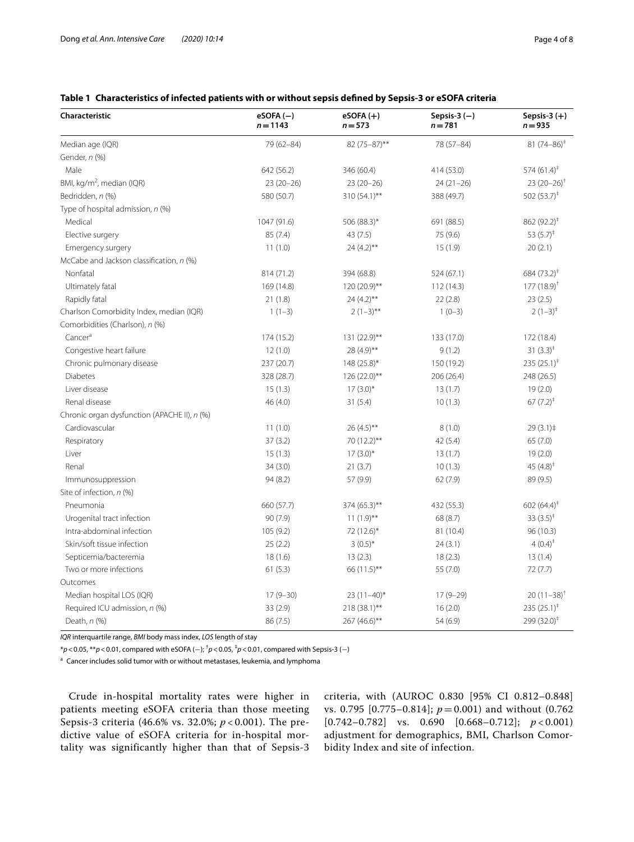### <span id="page-3-0"></span>**Table 1 Characteristics of infected patients with or without sepsis defned by Sepsis-3 or eSOFA criteria**

| Characteristic                               | $eSOFA(-)$<br>$n = 1143$ | $eSOFA (+)$<br>$n = 573$ | Sepsis-3 $(-)$<br>$n = 781$ | Sepsis-3 $(+)$<br>$n = 935$ |
|----------------------------------------------|--------------------------|--------------------------|-----------------------------|-----------------------------|
| Median age (IQR)                             | 79 (62-84)               | 82 (75-87)**             | 78 (57-84)                  | $81(74-86)^*$               |
| Gender, n (%)                                |                          |                          |                             |                             |
| Male                                         | 642 (56.2)               | 346 (60.4)               | 414 (53.0)                  | $574(61.4)^{\ddagger}$      |
| BMI, kg/m <sup>2</sup> , median (IQR)        | $23(20-26)$              | $23(20-26)$              | $24(21-26)$                 | $23(20-26)^{+}$             |
| Bedridden, n (%)                             | 580 (50.7)               | 310 (54.1)**             | 388 (49.7)                  | 502 $(53.7)^{\ddagger}$     |
| Type of hospital admission, n (%)            |                          |                          |                             |                             |
| Medical                                      | 1047 (91.6)              | 506 (88.3)*              | 691 (88.5)                  | 862 $(92.2)^{\ddagger}$     |
| Elective surgery                             | 85 (7.4)                 | 43(7.5)                  | 75 (9.6)                    | 53 $(5.7)^{\ddagger}$       |
| Emergency surgery                            | 11(1.0)                  | $24(4.2)$ **             | 15(1.9)                     | 20(2.1)                     |
| McCabe and Jackson classification, n (%)     |                          |                          |                             |                             |
| Nonfatal                                     | 814 (71.2)               | 394 (68.8)               | 524(67.1)                   | 684 $(73.2)^*$              |
| Ultimately fatal                             | 169 (14.8)               | 120 (20.9)**             | 112(14.3)                   | $177(18.9)^{+}$             |
| Rapidly fatal                                | 21(1.8)                  | $24(4.2)$ **             | 22(2.8)                     | 23(2.5)                     |
| Charlson Comorbidity Index, median (IQR)     | $1(1-3)$                 | $2(1-3)$ **              | $1(0-3)$                    | $2(1-3)^{+}$                |
| Comorbidities (Charlson), n (%)              |                          |                          |                             |                             |
| Cancer <sup>a</sup>                          | 174 (15.2)               | 131 (22.9)**             | 133 (17.0)                  | 172 (18.4)                  |
| Congestive heart failure                     | 12(1.0)                  | 28 (4.9)**               | 9(1.2)                      | 31 $(3.3)^{\ddagger}$       |
| Chronic pulmonary disease                    | 237 (20.7)               | $148(25.8)$ *            | 150 (19.2)                  | 235 $(25.1)^{\ddagger}$     |
| <b>Diabetes</b>                              | 328 (28.7)               | $126(22.0)$ **           | 206 (26.4)                  | 248 (26.5)                  |
| Liver disease                                | 15(1.3)                  | $17(3.0)$ *              | 13(1.7)                     | 19(2.0)                     |
| Renal disease                                | 46 (4.0)                 | 31(5.4)                  | 10(1.3)                     | $67 (7.2)^{\ddagger}$       |
| Chronic organ dysfunction (APACHE II), n (%) |                          |                          |                             |                             |
| Cardiovascular                               | 11(1.0)                  | $26(4.5)$ **             | 8(1.0)                      | 29(3.1)                     |
| Respiratory                                  | 37(3.2)                  | 70 (12.2)**              | 42(5.4)                     | 65(7.0)                     |
| Liver                                        | 15(1.3)                  | $17(3.0)$ *              | 13(1.7)                     | 19(2.0)                     |
| Renal                                        | 34(3.0)                  | 21(3.7)                  | 10(1.3)                     | 45 $(4.8)^{+}$              |
| Immunosuppression                            | 94 (8.2)                 | 57 (9.9)                 | 62(7.9)                     | 89 (9.5)                    |
| Site of infection, n (%)                     |                          |                          |                             |                             |
| Pneumonia                                    | 660 (57.7)               | 374 (65.3)**             | 432 (55.3)                  | 602 $(64.4)^*$              |
| Urogenital tract infection                   | 90(7.9)                  | $11(1.9)$ **             | 68 (8.7)                    | 33 $(3.5)^{\ddagger}$       |
| Intra-abdominal infection                    | 105(9.2)                 | 72 (12.6)*               | 81 (10.4)                   | 96 (10.3)                   |
| Skin/soft tissue infection                   | 25(2.2)                  | $3(0.5)^{*}$             | 24(3.1)                     | 4 $(0.4)^{\ddagger}$        |
| Septicemia/bacteremia                        | 18(1.6)                  | 13(2.3)                  | 18(2.3)                     | 13(1.4)                     |
| Two or more infections                       | 61(5.3)                  | 66 (11.5)**              | 55 (7.0)                    | 72(7.7)                     |
| Outcomes                                     |                          |                          |                             |                             |
| Median hospital LOS (IQR)                    | $17(9-30)$               | $23(11-40)$ *            | $17(9-29)$                  | $20(11-38)^{+}$             |
| Required ICU admission, n (%)                | 33 (2.9)                 | 218 (38.1)**             | 16(2.0)                     | 235 $(25.1)^{\ddagger}$     |
| Death, $n$ (%)                               | 86 (7.5)                 | 267 (46.6)**             | 54 (6.9)                    | $299(32.0)^{\ddagger}$      |

*IQR* interquartile range, *BMI* body mass index, *LOS* length of stay

\**p*<0.05, \*\**p*<0.01, compared with eSOFA (−); † *p*<0.05, ‡ *p*<0.01, compared with Sepsis-3 (−)

 $a$  Cancer includes solid tumor with or without metastases, leukemia, and lymphoma

Crude in-hospital mortality rates were higher in patients meeting eSOFA criteria than those meeting Sepsis-3 criteria (46.6% vs. 32.0%; *p* < 0.001). The predictive value of eSOFA criteria for in-hospital mortality was significantly higher than that of Sepsis-3 criteria, with (AUROC 0.830 [95% CI 0.812–0.848] vs. 0.795 [0.775–0.814]; *p* = 0.001) and without (0.762 [0.742–0.782] vs. 0.690 [0.668–0.712]; *p* < 0.001) adjustment for demographics, BMI, Charlson Comorbidity Index and site of infection.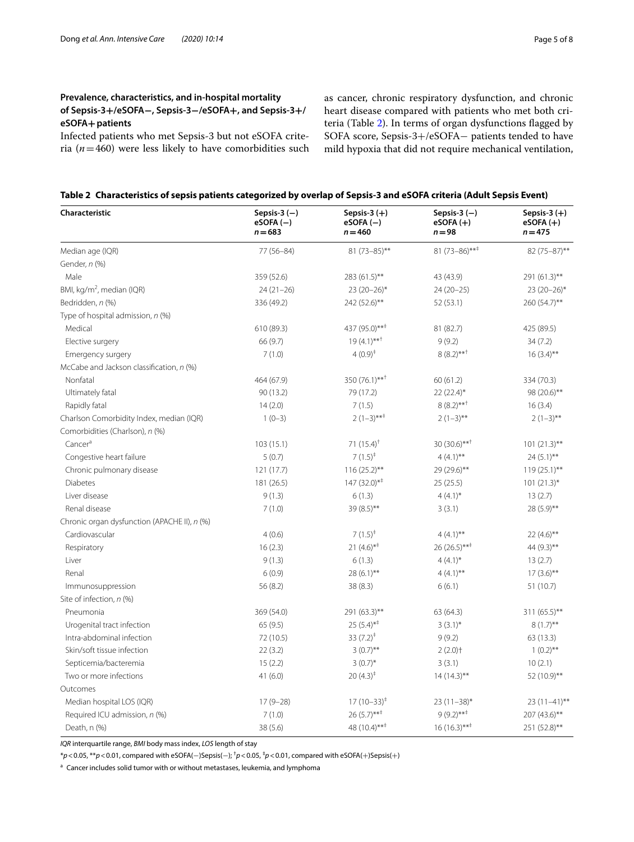## **Prevalence, characteristics, and in‑hospital mortality of Sepsis‑3+/eSOFA−, Sepsis‑3−/eSOFA+, and Sepsis‑3+/ eSOFA+patients**

Infected patients who met Sepsis-3 but not eSOFA criteria ( $n=460$ ) were less likely to have comorbidities such as cancer, chronic respiratory dysfunction, and chronic heart disease compared with patients who met both criteria (Table [2](#page-4-0)). In terms of organ dysfunctions fagged by SOFA score, Sepsis-3+/eSOFA− patients tended to have mild hypoxia that did not require mechanical ventilation,

<span id="page-4-0"></span>

|  |  |  |  |  |  | Table 2 Characteristics of sepsis patients categorized by overlap of Sepsis-3 and eSOFA criteria (Adult Sepsis Event) |
|--|--|--|--|--|--|-----------------------------------------------------------------------------------------------------------------------|
|--|--|--|--|--|--|-----------------------------------------------------------------------------------------------------------------------|

| Characteristic                               | Sepsis-3 $(-)$<br>$eSOFA(-)$<br>$n = 683$ | Sepsis-3 $(+)$<br>$eSOFA(-)$<br>$n = 460$ | Sepsis-3 $(-)$<br>$eSOFA (+)$<br>$n = 98$ | Sepsis-3 $(+)$<br>$eSOFA (+)$<br>$n = 475$ |
|----------------------------------------------|-------------------------------------------|-------------------------------------------|-------------------------------------------|--------------------------------------------|
| Median age (IQR)                             | 77 (56-84)                                | $81 (73 - 85)$ **                         | 81 (73-86)***                             | 82 (75-87)**                               |
| Gender, n (%)                                |                                           |                                           |                                           |                                            |
| Male                                         | 359 (52.6)                                | 283 (61.5)**                              | 43 (43.9)                                 | 291 (61.3)**                               |
| BMI, kg/m <sup>2</sup> , median (IQR)        | $24(21-26)$                               | $23(20-26)$ *                             | $24(20-25)$                               | $23(20-26)$ *                              |
| Bedridden, n (%)                             | 336 (49.2)                                | 242 (52.6)**                              | 52(53.1)                                  | 260 (54.7)**                               |
| Type of hospital admission, n (%)            |                                           |                                           |                                           |                                            |
| Medical                                      | 610 (89.3)                                | 437 (95.0)** <sup>‡</sup>                 | 81 (82.7)                                 | 425 (89.5)                                 |
| Elective surgery                             | 66 (9.7)                                  | $19(4.1)***$                              | 9(9.2)                                    | 34(7.2)                                    |
| Emergency surgery                            | 7(1.0)                                    | $4(0.9)^{\ddagger}$                       | $8(8.2)***$                               | $16(3.4)$ **                               |
| McCabe and Jackson classification, n (%)     |                                           |                                           |                                           |                                            |
| Nonfatal                                     | 464 (67.9)                                | $350(76.1)$ ** <sup>†</sup>               | 60(61.2)                                  | 334 (70.3)                                 |
| Ultimately fatal                             | 90(13.2)                                  | 79 (17.2)                                 | $22(22.4)$ *                              | 98 (20.6)**                                |
| Rapidly fatal                                | 14(2.0)                                   | 7(1.5)                                    | $8(8.2)***$                               | 16(3.4)                                    |
| Charlson Comorbidity Index, median (IQR)     | $1(0-3)$                                  | $2(1-3)***$                               | $2(1-3)$ **                               | $2(1-3)$ **                                |
| Comorbidities (Charlson), n (%)              |                                           |                                           |                                           |                                            |
| Cancer <sup>a</sup>                          | 103(15.1)                                 | 71 $(15.4)$ <sup>†</sup>                  | $30(30.6)$ ** <sup>†</sup>                | $101 (21.3)$ **                            |
| Congestive heart failure                     | 5(0.7)                                    | $7(1.5)^{+}$                              | $4(4.1)$ **                               | $24(5.1)$ **                               |
| Chronic pulmonary disease                    | 121(17.7)                                 | $116(25.2)$ **                            | 29 (29.6)**                               | $119(25.1)$ **                             |
| <b>Diabetes</b>                              | 181 (26.5)                                | $147 (32.0)^{*}$                          | 25(25.5)                                  | $101 (21.3)^*$                             |
| Liver disease                                | 9(1.3)                                    | 6(1.3)                                    | $4(4.1)^{*}$                              | 13(2.7)                                    |
| Renal disease                                | 7(1.0)                                    | 39 (8.5)**                                | 3(3.1)                                    | 28 (5.9)**                                 |
| Chronic organ dysfunction (APACHE II), n (%) |                                           |                                           |                                           |                                            |
| Cardiovascular                               | 4(0.6)                                    | $7(1.5)^{+}$                              | $4(4.1)$ **                               | $22(4.6)$ **                               |
| Respiratory                                  | 16(2.3)                                   | $21(4.6)$ <sup>**</sup>                   | $26(26.5)***$                             | 44 (9.3)**                                 |
| Liver                                        | 9(1.3)                                    | 6(1.3)                                    | $4(4.1)^{*}$                              | 13(2.7)                                    |
| Renal                                        | 6(0.9)                                    | $28(6.1)$ **                              | $4(4.1)$ **                               | $17(3.6)$ **                               |
| Immunosuppression                            | 56 (8.2)                                  | 38 (8.3)                                  | 6(6.1)                                    | 51 (10.7)                                  |
| Site of infection, n (%)                     |                                           |                                           |                                           |                                            |
| Pneumonia                                    | 369 (54.0)                                | 291 (63.3)**                              | 63 (64.3)                                 | 311 (65.5)**                               |
| Urogenital tract infection                   | 65(9.5)                                   | $25(5.4)$ <sup>**</sup>                   | $3(3.1)^{*}$                              | $8(1.7)$ **                                |
| Intra-abdominal infection                    | 72 (10.5)                                 | 33 $(7.2)^{\ddagger}$                     | 9(9.2)                                    | 63(13.3)                                   |
| Skin/soft tissue infection                   | 22(3.2)                                   | $3(0.7)$ **                               | $2(2.0)$ <sup>+</sup>                     | $1(0.2)$ **                                |
| Septicemia/bacteremia                        | 15(2.2)                                   | $3(0.7)^{*}$                              | 3(3.1)                                    | 10(2.1)                                    |
| Two or more infections                       | 41(6.0)                                   | $20(4.3)^{+}$                             | $14(14.3)$ **                             | 52 (10.9)**                                |
| Outcomes                                     |                                           |                                           |                                           |                                            |
| Median hospital LOS (IQR)                    | $17(9-28)$                                | $17(10-33)^{4}$                           | $23(11-38)^{*}$                           | $23(11-41)$ **                             |
| Required ICU admission, n (%)                | 7(1.0)                                    | $26(5.7)$ ** <sup>‡</sup>                 | $9(9.2)***$                               | 207 (43.6)**                               |
| Death, n (%)                                 | 38 (5.6)                                  | 48 $(10.4)$ ** <sup>‡</sup>               | $16(16.3)***$                             | 251 (52.8)**                               |

*IQR* interquartile range, *BMI* body mass index, *LOS* length of stay

\**p*<0.05, \*\**p*<0.01, compared with eSOFA(−)Sepsis(−); † *p*<0.05, ‡ *p*<0.01, compared with eSOFA(+)Sepsis(+)

<sup>a</sup> Cancer includes solid tumor with or without metastases, leukemia, and lymphoma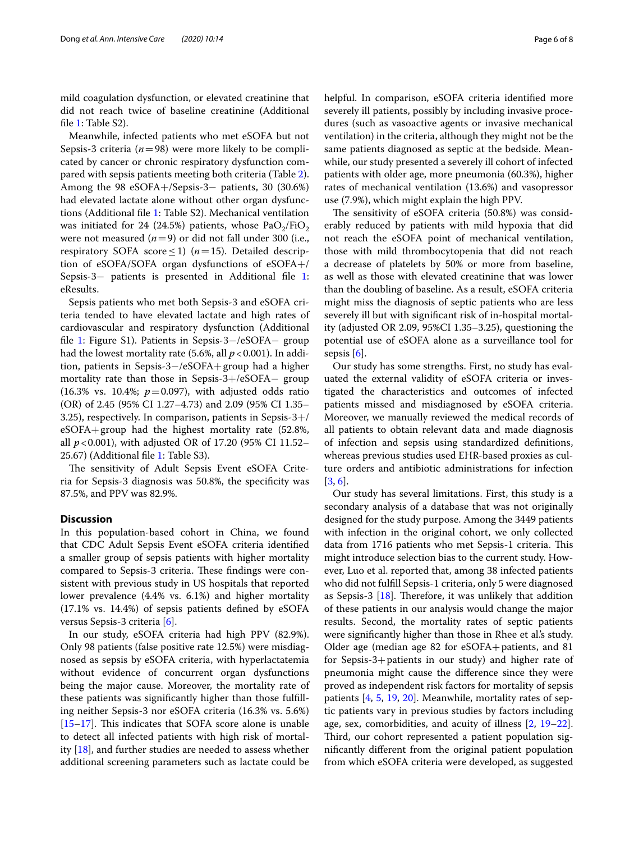mild coagulation dysfunction, or elevated creatinine that did not reach twice of baseline creatinine (Additional file [1](#page-6-5): Table S2).

Meanwhile, infected patients who met eSOFA but not Sepsis-3 criteria ( $n=98$ ) were more likely to be complicated by cancer or chronic respiratory dysfunction compared with sepsis patients meeting both criteria (Table [2](#page-4-0)). Among the 98 eSOFA+/Sepsis-3− patients, 30 (30.6%) had elevated lactate alone without other organ dysfunctions (Additional fle [1:](#page-6-5) Table S2). Mechanical ventilation was initiated for 24 (24.5%) patients, whose  $PaO<sub>2</sub>/FiO<sub>2</sub>$ were not measured  $(n=9)$  or did not fall under 300 (i.e., respiratory SOFA score≤1) (*n*=15). Detailed description of eSOFA/SOFA organ dysfunctions of eSOFA+/ Sepsis-3− patients is presented in Additional fle [1](#page-6-5): eResults.

Sepsis patients who met both Sepsis-3 and eSOFA criteria tended to have elevated lactate and high rates of cardiovascular and respiratory dysfunction (Additional fle [1:](#page-6-5) Figure S1). Patients in Sepsis-3−/eSOFA− group had the lowest mortality rate (5.6%, all  $p < 0.001$ ). In addition, patients in Sepsis-3−/eSOFA+group had a higher mortality rate than those in Sepsis-3+/eSOFA− group  $(16.3\% \text{ vs. } 10.4\%; p=0.097)$ , with adjusted odds ratio (OR) of 2.45 (95% CI 1.27–4.73) and 2.09 (95% CI 1.35– 3.25), respectively. In comparison, patients in Sepsis-3+/ eSOFA+group had the highest mortality rate (52.8%, all *p*<0.001), with adjusted OR of 17.20 (95% CI 11.52– 25.67) (Additional fle [1:](#page-6-5) Table S3).

The sensitivity of Adult Sepsis Event eSOFA Criteria for Sepsis-3 diagnosis was 50.8%, the specifcity was 87.5%, and PPV was 82.9%.

#### **Discussion**

In this population-based cohort in China, we found that CDC Adult Sepsis Event eSOFA criteria identifed a smaller group of sepsis patients with higher mortality compared to Sepsis-3 criteria. These findings were consistent with previous study in US hospitals that reported lower prevalence (4.4% vs. 6.1%) and higher mortality (17.1% vs. 14.4%) of sepsis patients defned by eSOFA versus Sepsis-3 criteria [\[6\]](#page-7-0).

In our study, eSOFA criteria had high PPV (82.9%). Only 98 patients (false positive rate 12.5%) were misdiagnosed as sepsis by eSOFA criteria, with hyperlactatemia without evidence of concurrent organ dysfunctions being the major cause. Moreover, the mortality rate of these patients was signifcantly higher than those fulflling neither Sepsis-3 nor eSOFA criteria (16.3% vs. 5.6%)  $[15–17]$  $[15–17]$  $[15–17]$  $[15–17]$ . This indicates that SOFA score alone is unable to detect all infected patients with high risk of mortality [[18\]](#page-7-11), and further studies are needed to assess whether additional screening parameters such as lactate could be helpful. In comparison, eSOFA criteria identifed more severely ill patients, possibly by including invasive procedures (such as vasoactive agents or invasive mechanical ventilation) in the criteria, although they might not be the same patients diagnosed as septic at the bedside. Meanwhile, our study presented a severely ill cohort of infected patients with older age, more pneumonia (60.3%), higher rates of mechanical ventilation (13.6%) and vasopressor use (7.9%), which might explain the high PPV.

The sensitivity of eSOFA criteria (50.8%) was considerably reduced by patients with mild hypoxia that did not reach the eSOFA point of mechanical ventilation, those with mild thrombocytopenia that did not reach a decrease of platelets by 50% or more from baseline, as well as those with elevated creatinine that was lower than the doubling of baseline. As a result, eSOFA criteria might miss the diagnosis of septic patients who are less severely ill but with signifcant risk of in-hospital mortality (adjusted OR 2.09, 95%CI 1.35–3.25), questioning the potential use of eSOFA alone as a surveillance tool for sepsis [\[6](#page-7-0)].

Our study has some strengths. First, no study has evaluated the external validity of eSOFA criteria or investigated the characteristics and outcomes of infected patients missed and misdiagnosed by eSOFA criteria. Moreover, we manually reviewed the medical records of all patients to obtain relevant data and made diagnosis of infection and sepsis using standardized defnitions, whereas previous studies used EHR-based proxies as culture orders and antibiotic administrations for infection [[3,](#page-6-2) [6](#page-7-0)].

Our study has several limitations. First, this study is a secondary analysis of a database that was not originally designed for the study purpose. Among the 3449 patients with infection in the original cohort, we only collected data from 1716 patients who met Sepsis-1 criteria. This might introduce selection bias to the current study. However, Luo et al. reported that, among 38 infected patients who did not fulfll Sepsis-1 criteria, only 5 were diagnosed as Sepsis-3  $[18]$ . Therefore, it was unlikely that addition of these patients in our analysis would change the major results. Second, the mortality rates of septic patients were significantly higher than those in Rhee et al's study. Older age (median age 82 for eSOFA+patients, and 81 for Sepsis-3+patients in our study) and higher rate of pneumonia might cause the diference since they were proved as independent risk factors for mortality of sepsis patients [\[4](#page-6-3), [5](#page-6-4), [19](#page-7-12), [20](#page-7-13)]. Meanwhile, mortality rates of septic patients vary in previous studies by factors including age, sex, comorbidities, and acuity of illness [[2,](#page-6-1) [19](#page-7-12)[–22](#page-7-14)]. Third, our cohort represented a patient population signifcantly diferent from the original patient population from which eSOFA criteria were developed, as suggested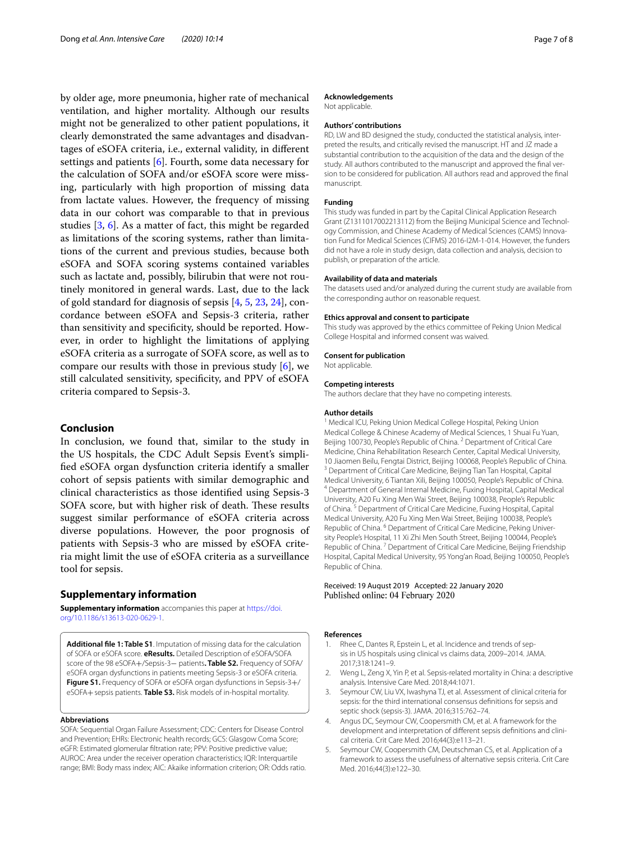by older age, more pneumonia, higher rate of mechanical ventilation, and higher mortality. Although our results might not be generalized to other patient populations, it clearly demonstrated the same advantages and disadvantages of eSOFA criteria, i.e., external validity, in diferent settings and patients  $[6]$  $[6]$ . Fourth, some data necessary for the calculation of SOFA and/or eSOFA score were missing, particularly with high proportion of missing data from lactate values. However, the frequency of missing data in our cohort was comparable to that in previous studies [\[3](#page-6-2), [6](#page-7-0)]. As a matter of fact, this might be regarded as limitations of the scoring systems, rather than limitations of the current and previous studies, because both eSOFA and SOFA scoring systems contained variables such as lactate and, possibly, bilirubin that were not routinely monitored in general wards. Last, due to the lack of gold standard for diagnosis of sepsis [[4](#page-6-3), [5](#page-6-4), [23,](#page-7-15) [24](#page-7-16)], concordance between eSOFA and Sepsis-3 criteria, rather than sensitivity and specifcity, should be reported. However, in order to highlight the limitations of applying eSOFA criteria as a surrogate of SOFA score, as well as to compare our results with those in previous study  $[6]$  $[6]$ , we still calculated sensitivity, specifcity, and PPV of eSOFA criteria compared to Sepsis-3.

#### **Conclusion**

In conclusion, we found that, similar to the study in the US hospitals, the CDC Adult Sepsis Event's simplifed eSOFA organ dysfunction criteria identify a smaller cohort of sepsis patients with similar demographic and clinical characteristics as those identifed using Sepsis-3 SOFA score, but with higher risk of death. These results suggest similar performance of eSOFA criteria across diverse populations. However, the poor prognosis of patients with Sepsis-3 who are missed by eSOFA criteria might limit the use of eSOFA criteria as a surveillance tool for sepsis.

#### **Supplementary information**

**Supplementary information** accompanies this paper at [https://doi.](https://doi.org/10.1186/s13613-020-0629-1) [org/10.1186/s13613-020-0629-1.](https://doi.org/10.1186/s13613-020-0629-1)

<span id="page-6-5"></span>**Additional fle 1: Table S1**. Imputation of missing data for the calculation of SOFA or eSOFA score. **eResults.** Detailed Description of eSOFA/SOFA score of the 98 eSOFA+/Sepsis-3− patients**. Table S2.** Frequency of SOFA/ eSOFA organ dysfunctions in patients meeting Sepsis-3 or eSOFA criteria. **Figure S1.** Frequency of SOFA or eSOFA organ dysfunctions in Sepsis-3+/ eSOFA+sepsis patients. **Table S3.** Risk models of in-hospital mortality.

#### **Abbreviations**

SOFA: Sequential Organ Failure Assessment; CDC: Centers for Disease Control and Prevention; EHRs: Electronic health records; GCS: Glasgow Coma Score; eGFR: Estimated glomerular fltration rate; PPV: Positive predictive value; AUROC: Area under the receiver operation characteristics; IQR: Interquartile range; BMI: Body mass index; AIC: Akaike information criterion; OR: Odds ratio.

#### **Acknowledgements**

Not applicable.

#### **Authors' contributions**

RD, LW and BD designed the study, conducted the statistical analysis, interpreted the results, and critically revised the manuscript. HT and JZ made a substantial contribution to the acquisition of the data and the design of the study. All authors contributed to the manuscript and approved the fnal version to be considered for publication. All authors read and approved the fnal manuscript.

#### **Funding**

This study was funded in part by the Capital Clinical Application Research Grant (Z1311017002213112) from the Beijing Municipal Science and Technology Commission, and Chinese Academy of Medical Sciences (CAMS) Innovation Fund for Medical Sciences (CIFMS) 2016-I2M-1-014. However, the funders did not have a role in study design, data collection and analysis, decision to publish, or preparation of the article.

#### **Availability of data and materials**

The datasets used and/or analyzed during the current study are available from the corresponding author on reasonable request.

#### **Ethics approval and consent to participate**

This study was approved by the ethics committee of Peking Union Medical College Hospital and informed consent was waived.

#### **Consent for publication**

Not applicable.

#### **Competing interests**

The authors declare that they have no competing interests.

#### **Author details**

<sup>1</sup> Medical ICU, Peking Union Medical College Hospital, Peking Union Medical College & Chinese Academy of Medical Sciences, 1 Shuai Fu Yuan, Beijing 100730, People's Republic of China. <sup>2</sup> Department of Critical Care Medicine, China Rehabilitation Research Center, Capital Medical University, 10 Jiaomen Beilu, Fengtai District, Beijing 100068, People's Republic of China.<br><sup>3</sup> Department of Critical Care Medicine, Beijing Tian Tan Hospital, Capital<br>Medical University, 6 Tiantan Xili, Beijing 100050, People's Repu <sup>4</sup> Department of General Internal Medicine, Fuxing Hospital, Capital Medical University, A20 Fu Xing Men Wai Street, Beijing 100038, People's Republic of China. <sup>5</sup> Department of Critical Care Medicine, Fuxing Hospital, Capital Medical University, A20 Fu Xing Men Wai Street, Beijing 100038, People's Republic of China. <sup>6</sup> Department of Critical Care Medicine, Peking University People's Hospital, 11 Xi Zhi Men South Street, Beijing 100044, People's Republic of China.<sup>7</sup> Department of Critical Care Medicine, Beijing Friendship Hospital, Capital Medical University, 95 Yong'an Road, Beijing 100050, People's Republic of China.

#### Received: 19 August 2019 Accepted: 22 January 2020 Published online: 04 February 2020

#### **References**

- <span id="page-6-0"></span>Rhee C, Dantes R, Epstein L, et al. Incidence and trends of sepsis in US hospitals using clinical vs claims data, 2009–2014. JAMA. 2017;318:1241–9.
- <span id="page-6-1"></span>2. Weng L, Zeng X, Yin P, et al. Sepsis-related mortality in China: a descriptive analysis. Intensive Care Med. 2018;44:1071.
- <span id="page-6-2"></span>3. Seymour CW, Liu VX, Iwashyna TJ, et al. Assessment of clinical criteria for sepsis: for the third international consensus defnitions for sepsis and septic shock (sepsis-3). JAMA. 2016;315:762–74.
- <span id="page-6-3"></span>4. Angus DC, Seymour CW, Coopersmith CM, et al. A framework for the development and interpretation of diferent sepsis defnitions and clinical criteria. Crit Care Med. 2016;44(3):e113–21.
- <span id="page-6-4"></span>5. Seymour CW, Coopersmith CM, Deutschman CS, et al. Application of a framework to assess the usefulness of alternative sepsis criteria. Crit Care Med. 2016;44(3):e122–30.